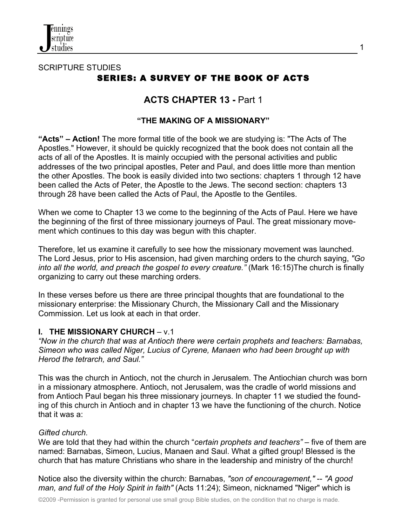

# SCRIPTURE STUDIES SERIES: A SURVEY OF THE BOOK OF ACTS

# **ACTS CHAPTER 13 -** Part 1

## **"THE MAKING OF A MISSIONARY"**

**"Acts" – Action!** The more formal title of the book we are studying is: "The Acts of The Apostles." However, it should be quickly recognized that the book does not contain all the acts of all of the Apostles. It is mainly occupied with the personal activities and public addresses of the two principal apostles, Peter and Paul, and does little more than mention the other Apostles. The book is easily divided into two sections: chapters 1 through 12 have been called the Acts of Peter, the Apostle to the Jews. The second section: chapters 13 through 28 have been called the Acts of Paul, the Apostle to the Gentiles.

When we come to Chapter 13 we come to the beginning of the Acts of Paul. Here we have the beginning of the first of three missionary journeys of Paul. The great missionary movement which continues to this day was begun with this chapter.

Therefore, let us examine it carefully to see how the missionary movement was launched. The Lord Jesus, prior to His ascension, had given marching orders to the church saying, *"Go into all the world, and preach the gospel to every creature."* (Mark 16:15)The church is finally organizing to carry out these marching orders.

In these verses before us there are three principal thoughts that are foundational to the missionary enterprise: the Missionary Church, the Missionary Call and the Missionary Commission. Let us look at each in that order.

## **I. THE MISSIONARY CHURCH** – v.1

*"Now in the church that was at Antioch there were certain prophets and teachers: Barnabas, Simeon who was called Niger, Lucius of Cyrene, Manaen who had been brought up with Herod the tetrarch, and Saul."* 

This was the church in Antioch, not the church in Jerusalem. The Antiochian church was born in a missionary atmosphere. Antioch, not Jerusalem, was the cradle of world missions and from Antioch Paul began his three missionary journeys. In chapter 11 we studied the founding of this church in Antioch and in chapter 13 we have the functioning of the church. Notice that it was a:

### *Gifted church.*

We are told that they had within the church "*certain prophets and teachers"* – five of them are named: Barnabas, Simeon, Lucius, Manaen and Saul. What a gifted group! Blessed is the church that has mature Christians who share in the leadership and ministry of the church!

Notice also the diversity within the church: Barnabas, *"son of encouragement,"* -- *"A good man, and full of the Holy Spirit in faith"* (Acts 11:24); Simeon, nicknamed "Niger" which is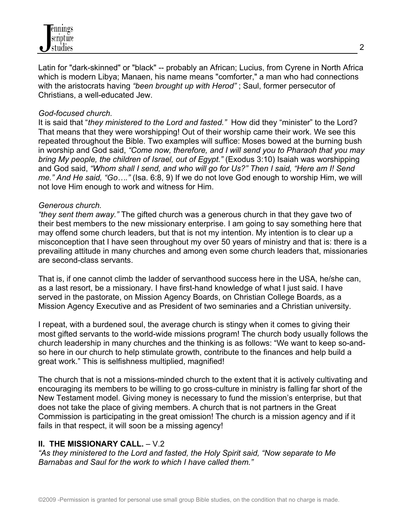

Latin for "dark-skinned" or "black" -- probably an African; Lucius, from Cyrene in North Africa which is modern Libya; Manaen, his name means "comforter," a man who had connections with the aristocrats having *"been brought up with Herod"* ; Saul, former persecutor of Christians, a well-educated Jew.

#### *God-focused church.*

It is said that "*they ministered to the Lord and fasted."* How did they "minister" to the Lord? That means that they were worshipping! Out of their worship came their work. We see this repeated throughout the Bible. Two examples will suffice: Moses bowed at the burning bush in worship and God said, *"Come now, therefore, and I will send you to Pharaoh that you may bring My people, the children of Israel, out of Egypt."* (Exodus 3:10) Isaiah was worshipping and God said, *"Whom shall I send, and who will go for Us?" Then I said, "Here am I! Send me." And He said, "Go…."* (Isa. 6:8, 9) If we do not love God enough to worship Him, we will not love Him enough to work and witness for Him.

#### *Generous church.*

*"they sent them away."* The gifted church was a generous church in that they gave two of their best members to the new missionary enterprise. I am going to say something here that may offend some church leaders, but that is not my intention. My intention is to clear up a misconception that I have seen throughout my over 50 years of ministry and that is: there is a prevailing attitude in many churches and among even some church leaders that, missionaries are second-class servants.

That is, if one cannot climb the ladder of servanthood success here in the USA, he/she can, as a last resort, be a missionary. I have first-hand knowledge of what I just said. I have served in the pastorate, on Mission Agency Boards, on Christian College Boards, as a Mission Agency Executive and as President of two seminaries and a Christian university.

I repeat, with a burdened soul, the average church is stingy when it comes to giving their most gifted servants to the world-wide missions program! The church body usually follows the church leadership in many churches and the thinking is as follows: "We want to keep so-andso here in our church to help stimulate growth, contribute to the finances and help build a great work." This is selfishness multiplied, magnified!

The church that is not a missions-minded church to the extent that it is actively cultivating and encouraging its members to be willing to go cross-culture in ministry is falling far short of the New Testament model. Giving money is necessary to fund the mission's enterprise, but that does not take the place of giving members. A church that is not partners in the Great Commission is participating in the great omission! The church is a mission agency and if it fails in that respect, it will soon be a missing agency!

### **II. THE MISSIONARY CALL.** – V.2

*"As they ministered to the Lord and fasted, the Holy Spirit said, "Now separate to Me Barnabas and Saul for the work to which I have called them."*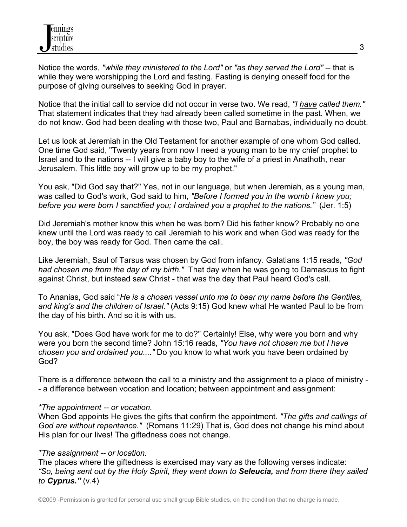Notice the words, *"while they ministered to the Lord"* or *"as they served the Lord"* -- that is while they were worshipping the Lord and fasting. Fasting is denying oneself food for the purpose of giving ourselves to seeking God in prayer.

Notice that the initial call to service did not occur in verse two. We read, *"I have called them."* That statement indicates that they had already been called sometime in the past. When, we do not know. God had been dealing with those two, Paul and Barnabas, individually no doubt.

Let us look at Jeremiah in the Old Testament for another example of one whom God called. One time God said, "Twenty years from now I need a young man to be my chief prophet to Israel and to the nations -- I will give a baby boy to the wife of a priest in Anathoth, near Jerusalem. This little boy will grow up to be my prophet."

You ask, "Did God say that?" Yes, not in our language, but when Jeremiah, as a young man, was called to God's work, God said to him, *"Before I formed you in the womb I knew you; before you were born I sanctified you; I ordained you a prophet to the nations."* (Jer. 1:5)

Did Jeremiah's mother know this when he was born? Did his father know? Probably no one knew until the Lord was ready to call Jeremiah to his work and when God was ready for the boy, the boy was ready for God. Then came the call.

Like Jeremiah, Saul of Tarsus was chosen by God from infancy. Galatians 1:15 reads, *"God had chosen me from the day of my birth."* That day when he was going to Damascus to fight against Christ, but instead saw Christ - that was the day that Paul heard God's call.

To Ananias, God said "*He is a chosen vessel unto me to bear my name before the Gentiles, and king's and the children of Israel."* (Acts 9:15) God knew what He wanted Paul to be from the day of his birth. And so it is with us.

You ask, "Does God have work for me to do?" Certainly! Else, why were you born and why were you born the second time? John 15:16 reads, *"You have not chosen me but I have chosen you and ordained you...."* Do you know to what work you have been ordained by God?

There is a difference between the call to a ministry and the assignment to a place of ministry - - a difference between vocation and location; between appointment and assignment:

### *\*The appointment -- or vocation.*

When God appoints He gives the gifts that confirm the appointment. *"The gifts and callings of God are without repentance."* (Romans 11:29) That is, God does not change his mind about His plan for our lives! The giftedness does not change.

#### *\*The assignment -- or location.*

The places where the giftedness is exercised may vary as the following verses indicate: *"So, being sent out by the Holy Spirit, they went down to Seleucia, and from there they sailed to Cyprus."* (v.4)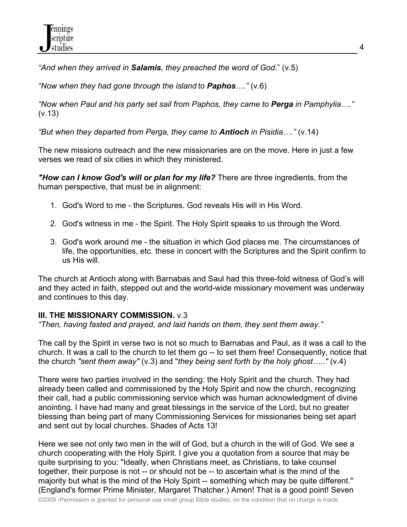*"And when they arrived in Salamis, they preached the word of God.*" (v.5)

*"Now when they had gone through the island to Paphos…."* (v.6)

*"Now when Paul and his party set sail from Paphos, they came to Perga in Pamphylia…."*  (v.13)

*"But when they departed from Perga, they came to Antioch in Pisidia…."* (v.14)

The new missions outreach and the new missionaries are on the move. Here in just a few verses we read of six cities in which they ministered.

*"How can I know God's will or plan for my life?* There are three ingredients, from the human perspective, that must be in alignment:

- 1. God's Word to me the Scriptures. God reveals His will in His Word.
- 2. God's witness in me the Spirit. The Holy Spirit speaks to us through the Word.
- 3. God's work around me the situation in which God places me. The circumstances of life, the opportunities, etc. these in concert with the Scriptures and the Spirit confirm to us His will.

The church at Antioch along with Barnabas and Saul had this three-fold witness of God's will and they acted in faith, stepped out and the world-wide missionary movement was underway and continues to this day.

# **III. THE MISSIONARY COMMISSION.** v.3

*"Then, having fasted and prayed, and laid hands on them, they sent them away."*

The call by the Spirit in verse two is not so much to Barnabas and Paul, as it was a call to the church. It was a call to the church to let them go -- to set them free! Consequently, notice that the church *"sent them away"* (v.3) and "*they being sent forth by the holy ghost….."* (v.4)

There were two parties involved in the sending: the Holy Spirit and the church. They had already been called and commissioned by the Holy Spirit and now the church, recognizing their call, had a public commissioning service which was human acknowledgment of divine anointing. I have had many and great blessings in the service of the Lord, but no greater blessing than being part of many Commissioning Services for missionaries being set apart and sent out by local churches. Shades of Acts 13!

Here we see not only two men in the will of God, but a church in the will of God. We see a church cooperating with the Holy Spirit. I give you a quotation from a source that may be quite surprising to you: "Ideally, when Christians meet, as Christians, to take counsel together, their purpose is not -- or should not be -- to ascertain what is the mind of the majority but what is the mind of the Holy Spirit -- something which may be quite different." (England's former Prime Minister, Margaret Thatcher.) Amen! That is a good point! Seven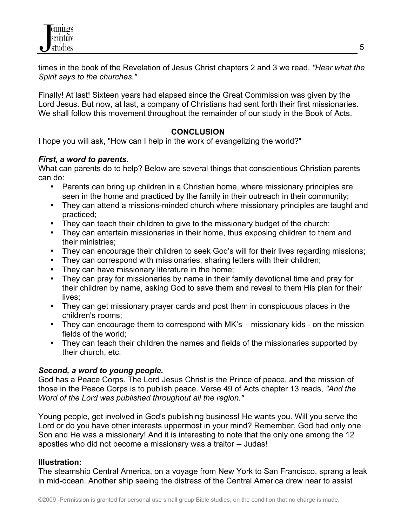

times in the book of the Revelation of Jesus Christ chapters 2 and 3 we read, *"Hear what the Spirit says to the churches."*

Finally! At last! Sixteen years had elapsed since the Great Commission was given by the Lord Jesus. But now, at last, a company of Christians had sent forth their first missionaries. We shall follow this movement throughout the remainder of our study in the Book of Acts.

### **CONCLUSION**

I hope you will ask, "How can I help in the work of evangelizing the world?"

#### *First, a word to parents.*

What can parents do to help? Below are several things that conscientious Christian parents can do:

- Parents can bring up children in a Christian home, where missionary principles are seen in the home and practiced by the family in their outreach in their community;
- They can attend a missions-minded church where missionary principles are taught and practiced;
- They can teach their children to give to the missionary budget of the church;
- They can entertain missionaries in their home, thus exposing children to them and their ministries;
- They can encourage their children to seek God's will for their lives regarding missions;
- They can correspond with missionaries, sharing letters with their children;
- They can have missionary literature in the home;
- They can pray for missionaries by name in their family devotional time and pray for their children by name, asking God to save them and reveal to them His plan for their lives;
- They can get missionary prayer cards and post them in conspicuous places in the children's rooms;
- They can encourage them to correspond with MK's missionary kids on the mission fields of the world;
- They can teach their children the names and fields of the missionaries supported by their church, etc.

### *Second, a word to young people.*

God has a Peace Corps. The Lord Jesus Christ is the Prince of peace, and the mission of those in the Peace Corps is to publish peace. Verse 49 of Acts chapter 13 reads, *"And the Word of the Lord was published throughout all the region."*

Young people, get involved in God's publishing business! He wants you. Will you serve the Lord or do you have other interests uppermost in your mind? Remember, God had only one Son and He was a missionary! And it is interesting to note that the only one among the 12 apostles who did not become a missionary was a traitor -- Judas!

### **Illustration:**

The steamship Central America, on a voyage from New York to San Francisco, sprang a leak in mid-ocean. Another ship seeing the distress of the Central America drew near to assist